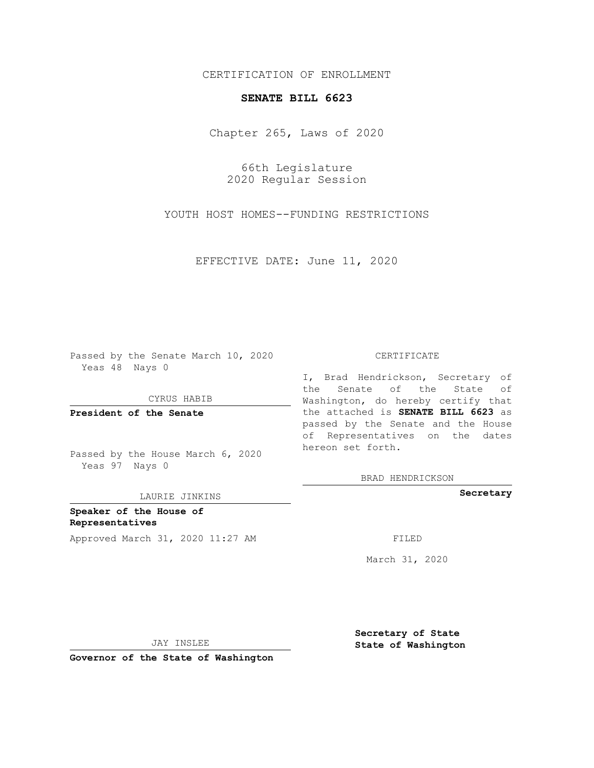## CERTIFICATION OF ENROLLMENT

## **SENATE BILL 6623**

Chapter 265, Laws of 2020

66th Legislature 2020 Regular Session

YOUTH HOST HOMES--FUNDING RESTRICTIONS

EFFECTIVE DATE: June 11, 2020

Passed by the Senate March 10, 2020 Yeas 48 Nays 0

CYRUS HABIB

**President of the Senate**

Passed by the House March 6, 2020 Yeas 97 Nays 0

LAURIE JINKINS

**Speaker of the House of Representatives** Approved March 31, 2020 11:27 AM FILED

## CERTIFICATE

I, Brad Hendrickson, Secretary of the Senate of the State of Washington, do hereby certify that the attached is **SENATE BILL 6623** as passed by the Senate and the House of Representatives on the dates hereon set forth.

BRAD HENDRICKSON

**Secretary**

March 31, 2020

JAY INSLEE

**Governor of the State of Washington**

**Secretary of State State of Washington**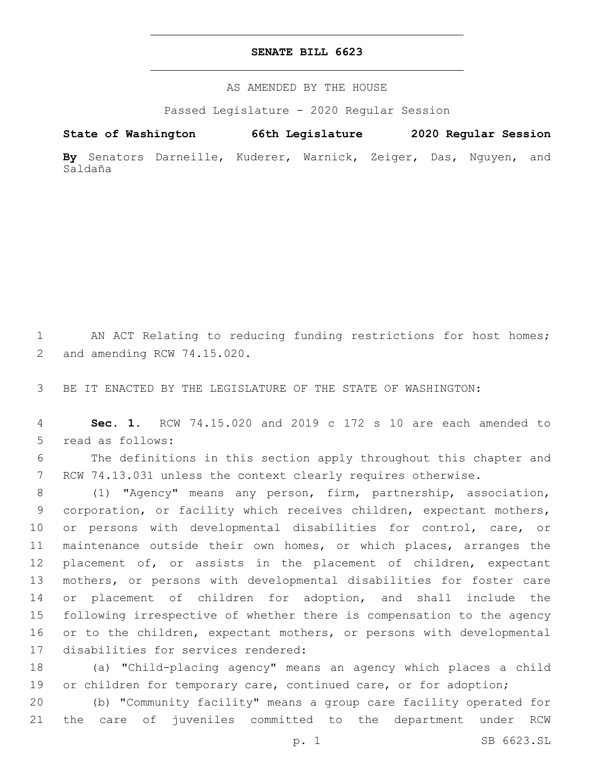## **SENATE BILL 6623**

AS AMENDED BY THE HOUSE

Passed Legislature - 2020 Regular Session

**State of Washington 66th Legislature 2020 Regular Session**

**By** Senators Darneille, Kuderer, Warnick, Zeiger, Das, Nguyen, and Saldaña

1 AN ACT Relating to reducing funding restrictions for host homes; 2 and amending RCW 74.15.020.

3 BE IT ENACTED BY THE LEGISLATURE OF THE STATE OF WASHINGTON:

4 **Sec. 1.** RCW 74.15.020 and 2019 c 172 s 10 are each amended to 5 read as follows:

6 The definitions in this section apply throughout this chapter and 7 RCW 74.13.031 unless the context clearly requires otherwise.

 (1) "Agency" means any person, firm, partnership, association, corporation, or facility which receives children, expectant mothers, or persons with developmental disabilities for control, care, or maintenance outside their own homes, or which places, arranges the 12 placement of, or assists in the placement of children, expectant mothers, or persons with developmental disabilities for foster care or placement of children for adoption, and shall include the following irrespective of whether there is compensation to the agency 16 or to the children, expectant mothers, or persons with developmental 17 disabilities for services rendered:

18 (a) "Child-placing agency" means an agency which places a child 19 or children for temporary care, continued care, or for adoption;

20 (b) "Community facility" means a group care facility operated for 21 the care of juveniles committed to the department under RCW

p. 1 SB 6623.SL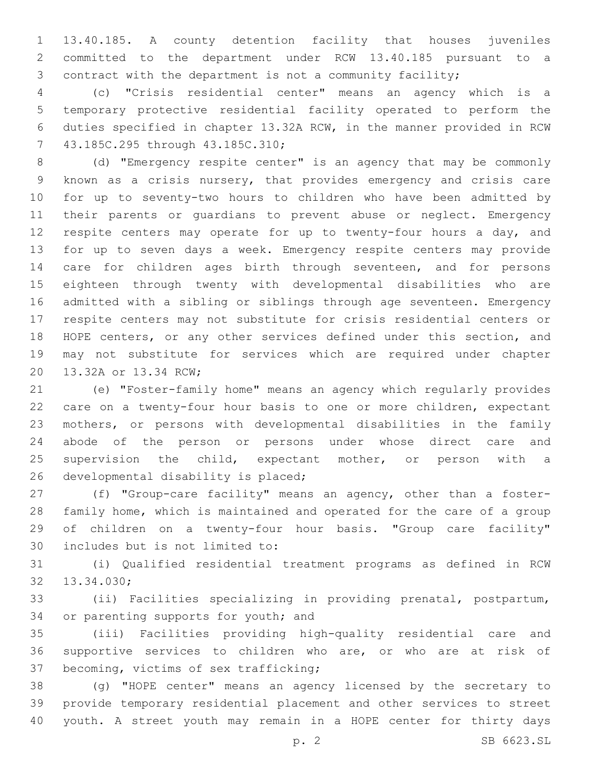13.40.185. A county detention facility that houses juveniles committed to the department under RCW 13.40.185 pursuant to a contract with the department is not a community facility;

 (c) "Crisis residential center" means an agency which is a temporary protective residential facility operated to perform the duties specified in chapter 13.32A RCW, in the manner provided in RCW 7 43.185C.295 through 43.185C.310;

 (d) "Emergency respite center" is an agency that may be commonly known as a crisis nursery, that provides emergency and crisis care for up to seventy-two hours to children who have been admitted by their parents or guardians to prevent abuse or neglect. Emergency 12 respite centers may operate for up to twenty-four hours a day, and for up to seven days a week. Emergency respite centers may provide 14 care for children ages birth through seventeen, and for persons eighteen through twenty with developmental disabilities who are admitted with a sibling or siblings through age seventeen. Emergency respite centers may not substitute for crisis residential centers or HOPE centers, or any other services defined under this section, and may not substitute for services which are required under chapter 20 13.32A or 13.34 RCW;

 (e) "Foster-family home" means an agency which regularly provides care on a twenty-four hour basis to one or more children, expectant mothers, or persons with developmental disabilities in the family abode of the person or persons under whose direct care and supervision the child, expectant mother, or person with a 26 developmental disability is placed;

 (f) "Group-care facility" means an agency, other than a foster- family home, which is maintained and operated for the care of a group of children on a twenty-four hour basis. "Group care facility" 30 includes but is not limited to:

 (i) Qualified residential treatment programs as defined in RCW 32 13.34.030;

 (ii) Facilities specializing in providing prenatal, postpartum, 34 or parenting supports for youth; and

 (iii) Facilities providing high-quality residential care and supportive services to children who are, or who are at risk of 37 becoming, victims of sex trafficking;

 (g) "HOPE center" means an agency licensed by the secretary to provide temporary residential placement and other services to street youth. A street youth may remain in a HOPE center for thirty days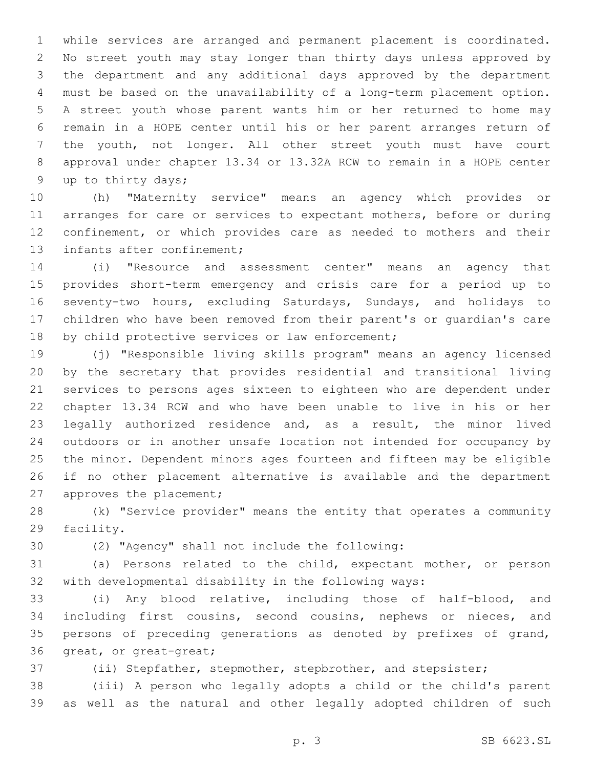while services are arranged and permanent placement is coordinated. No street youth may stay longer than thirty days unless approved by the department and any additional days approved by the department must be based on the unavailability of a long-term placement option. A street youth whose parent wants him or her returned to home may remain in a HOPE center until his or her parent arranges return of the youth, not longer. All other street youth must have court approval under chapter 13.34 or 13.32A RCW to remain in a HOPE center 9 up to thirty days;

 (h) "Maternity service" means an agency which provides or 11 arranges for care or services to expectant mothers, before or during confinement, or which provides care as needed to mothers and their 13 infants after confinement;

 (i) "Resource and assessment center" means an agency that provides short-term emergency and crisis care for a period up to seventy-two hours, excluding Saturdays, Sundays, and holidays to children who have been removed from their parent's or guardian's care 18 by child protective services or law enforcement;

 (j) "Responsible living skills program" means an agency licensed by the secretary that provides residential and transitional living services to persons ages sixteen to eighteen who are dependent under chapter 13.34 RCW and who have been unable to live in his or her legally authorized residence and, as a result, the minor lived outdoors or in another unsafe location not intended for occupancy by the minor. Dependent minors ages fourteen and fifteen may be eligible if no other placement alternative is available and the department 27 approves the placement;

 (k) "Service provider" means the entity that operates a community 29 facility.

(2) "Agency" shall not include the following:30

 (a) Persons related to the child, expectant mother, or person with developmental disability in the following ways:

 (i) Any blood relative, including those of half-blood, and including first cousins, second cousins, nephews or nieces, and persons of preceding generations as denoted by prefixes of grand, 36 great, or great-great;

(ii) Stepfather, stepmother, stepbrother, and stepsister;

 (iii) A person who legally adopts a child or the child's parent as well as the natural and other legally adopted children of such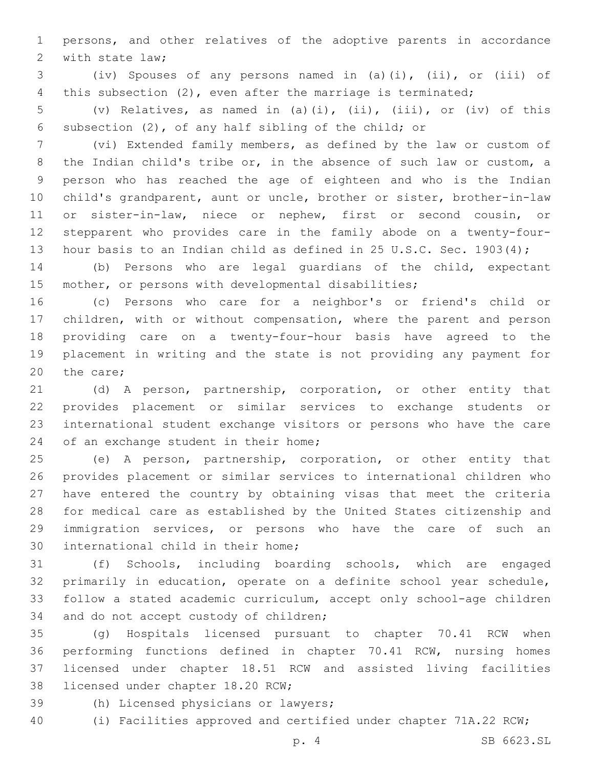persons, and other relatives of the adoptive parents in accordance 2 with state law;

 (iv) Spouses of any persons named in (a)(i), (ii), or (iii) of this subsection (2), even after the marriage is terminated;

 (v) Relatives, as named in (a)(i), (ii), (iii), or (iv) of this subsection (2), of any half sibling of the child; or

 (vi) Extended family members, as defined by the law or custom of the Indian child's tribe or, in the absence of such law or custom, a person who has reached the age of eighteen and who is the Indian child's grandparent, aunt or uncle, brother or sister, brother-in-law or sister-in-law, niece or nephew, first or second cousin, or stepparent who provides care in the family abode on a twenty-four-13 hour basis to an Indian child as defined in 25 U.S.C. Sec. 1903(4);

 (b) Persons who are legal guardians of the child, expectant mother, or persons with developmental disabilities;

 (c) Persons who care for a neighbor's or friend's child or children, with or without compensation, where the parent and person providing care on a twenty-four-hour basis have agreed to the placement in writing and the state is not providing any payment for 20 the care;

 (d) A person, partnership, corporation, or other entity that provides placement or similar services to exchange students or international student exchange visitors or persons who have the care 24 of an exchange student in their home;

 (e) A person, partnership, corporation, or other entity that provides placement or similar services to international children who have entered the country by obtaining visas that meet the criteria for medical care as established by the United States citizenship and immigration services, or persons who have the care of such an 30 international child in their home;

 (f) Schools, including boarding schools, which are engaged primarily in education, operate on a definite school year schedule, follow a stated academic curriculum, accept only school-age children 34 and do not accept custody of children;

 (g) Hospitals licensed pursuant to chapter 70.41 RCW when performing functions defined in chapter 70.41 RCW, nursing homes licensed under chapter 18.51 RCW and assisted living facilities 38 licensed under chapter 18.20 RCW;

- 39 (h) Licensed physicians or lawyers;
- (i) Facilities approved and certified under chapter 71A.22 RCW;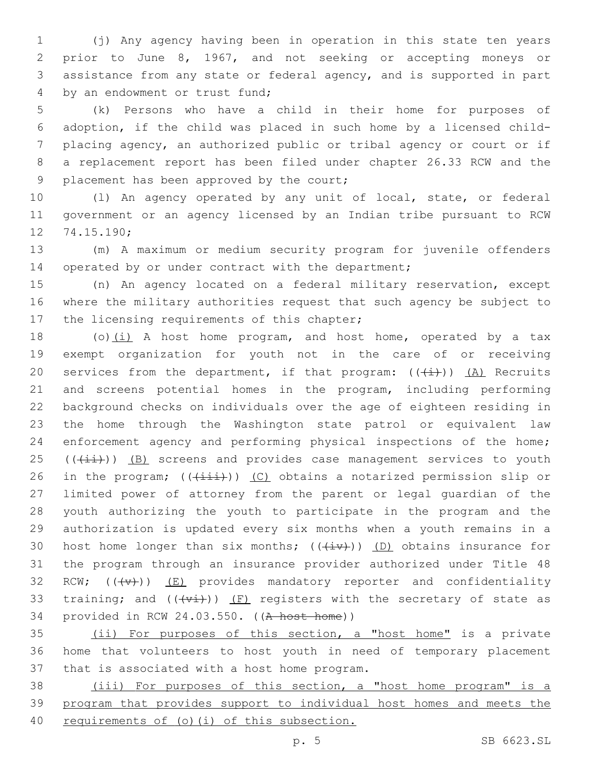(j) Any agency having been in operation in this state ten years prior to June 8, 1967, and not seeking or accepting moneys or assistance from any state or federal agency, and is supported in part 4 by an endowment or trust fund;

 (k) Persons who have a child in their home for purposes of adoption, if the child was placed in such home by a licensed child- placing agency, an authorized public or tribal agency or court or if a replacement report has been filed under chapter 26.33 RCW and the 9 placement has been approved by the court;

 (l) An agency operated by any unit of local, state, or federal government or an agency licensed by an Indian tribe pursuant to RCW 12 74.15.190;

 (m) A maximum or medium security program for juvenile offenders 14 operated by or under contract with the department;

 (n) An agency located on a federal military reservation, except where the military authorities request that such agency be subject to 17 the licensing requirements of this chapter;

18 (o) $(i)$  A host home program, and host home, operated by a tax exempt organization for youth not in the care of or receiving 20 services from the department, if that program:  $((+i))$   $(\underline{A})$  Recruits and screens potential homes in the program, including performing background checks on individuals over the age of eighteen residing in the home through the Washington state patrol or equivalent law enforcement agency and performing physical inspections of the home; (( $(i+i)$ )) (B) screens and provides case management services to youth 26 in the program;  $((\pm i\pm i))$  (C) obtains a notarized permission slip or limited power of attorney from the parent or legal guardian of the youth authorizing the youth to participate in the program and the authorization is updated every six months when a youth remains in a 30 host home longer than six months;  $((\ddot{+}v))$  (D) obtains insurance for the program through an insurance provider authorized under Title 48 32 RCW;  $((\downarrow \vee \downarrow))$  (E) provides mandatory reporter and confidentiality 33 training; and  $((+\nu i))$  (F) registers with the secretary of state as provided in RCW 24.03.550. ((A host home))

 (ii) For purposes of this section, a "host home" is a private home that volunteers to host youth in need of temporary placement 37 that is associated with a host home program.

 (iii) For purposes of this section, a "host home program" is a program that provides support to individual host homes and meets the requirements of (o)(i) of this subsection.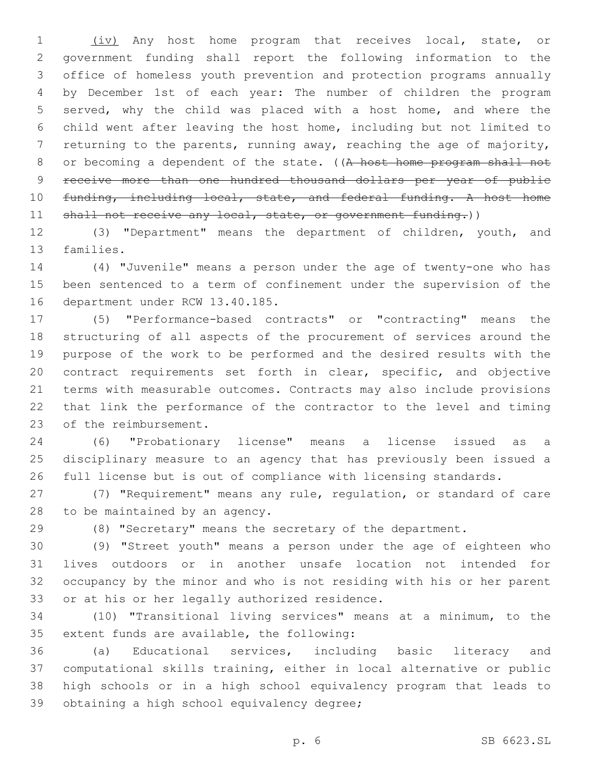(iv) Any host home program that receives local, state, or government funding shall report the following information to the office of homeless youth prevention and protection programs annually by December 1st of each year: The number of children the program served, why the child was placed with a host home, and where the child went after leaving the host home, including but not limited to returning to the parents, running away, reaching the age of majority, 8 or becoming a dependent of the state. ((A host home program shall not receive more than one hundred thousand dollars per year of public 10 funding, including local, state, and federal funding. A host home 11 shall not receive any local, state, or government funding.))

 (3) "Department" means the department of children, youth, and 13 families.

 (4) "Juvenile" means a person under the age of twenty-one who has been sentenced to a term of confinement under the supervision of the 16 department under RCW 13.40.185.

 (5) "Performance-based contracts" or "contracting" means the structuring of all aspects of the procurement of services around the purpose of the work to be performed and the desired results with the contract requirements set forth in clear, specific, and objective terms with measurable outcomes. Contracts may also include provisions that link the performance of the contractor to the level and timing 23 of the reimbursement.

 (6) "Probationary license" means a license issued as a disciplinary measure to an agency that has previously been issued a full license but is out of compliance with licensing standards.

 (7) "Requirement" means any rule, regulation, or standard of care 28 to be maintained by an agency.

(8) "Secretary" means the secretary of the department.

 (9) "Street youth" means a person under the age of eighteen who lives outdoors or in another unsafe location not intended for occupancy by the minor and who is not residing with his or her parent 33 or at his or her legally authorized residence.

 (10) "Transitional living services" means at a minimum, to the 35 extent funds are available, the following:

 (a) Educational services, including basic literacy and computational skills training, either in local alternative or public high schools or in a high school equivalency program that leads to 39 obtaining a high school equivalency degree;